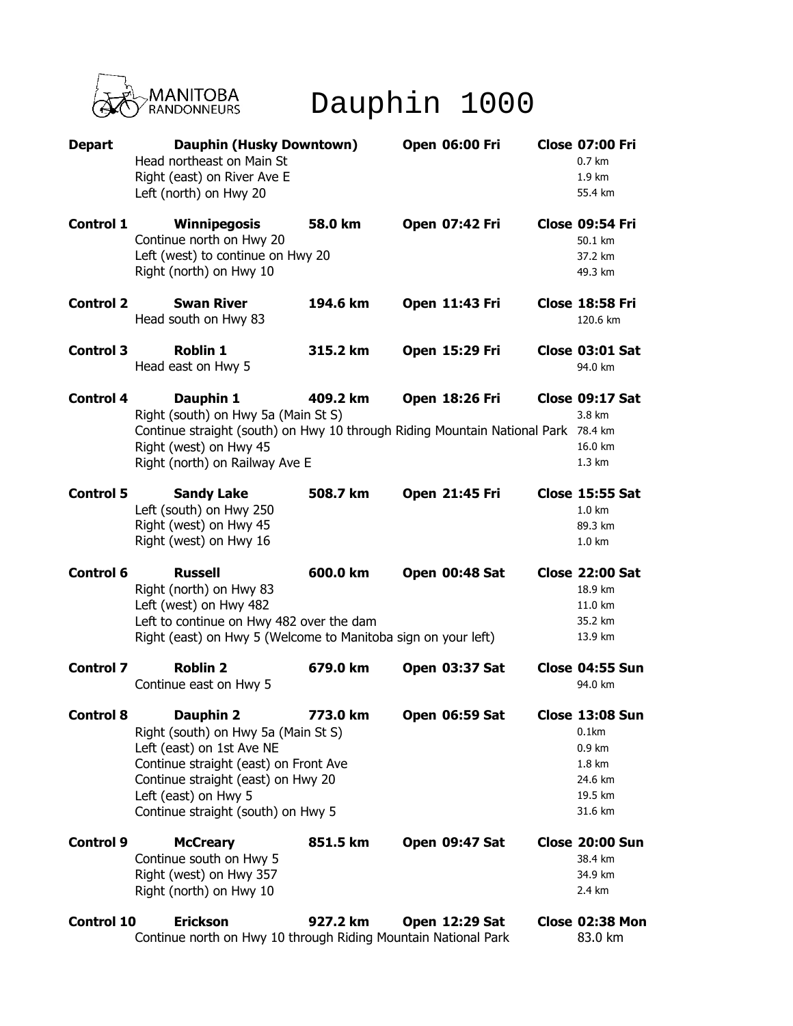

Dauphin 1000

| <b>Depart</b>     | <b>Dauphin (Husky Downtown)</b><br>Head northeast on Main St<br>Right (east) on River Ave E<br>Left (north) on Hwy 20                                                                                                      |          | <b>Open 06:00 Fri</b> | <b>Close 07:00 Fri</b><br>0.7 km<br>1.9 km<br>55.4 km                            |
|-------------------|----------------------------------------------------------------------------------------------------------------------------------------------------------------------------------------------------------------------------|----------|-----------------------|----------------------------------------------------------------------------------|
| <b>Control 1</b>  | Winnipegosis<br>Continue north on Hwy 20<br>Left (west) to continue on Hwy 20<br>Right (north) on Hwy 10                                                                                                                   | 58.0 km  | <b>Open 07:42 Fri</b> | Close 09:54 Fri<br>50.1 km<br>37.2 km<br>49.3 km                                 |
| <b>Control 2</b>  | <b>Swan River</b><br>Head south on Hwy 83                                                                                                                                                                                  | 194.6 km | Open 11:43 Fri        | Close 18:58 Fri<br>120.6 km                                                      |
| <b>Control 3</b>  | <b>Roblin 1</b><br>Head east on Hwy 5                                                                                                                                                                                      | 315.2 km | <b>Open 15:29 Fri</b> | <b>Close 03:01 Sat</b><br>94.0 km                                                |
| <b>Control 4</b>  | Dauphin 1<br>Right (south) on Hwy 5a (Main St S)<br>Continue straight (south) on Hwy 10 through Riding Mountain National Park 78.4 km<br>Right (west) on Hwy 45<br>Right (north) on Railway Ave E                          | 409.2 km | <b>Open 18:26 Fri</b> | Close 09:17 Sat<br>3.8 km<br>16.0 km<br>1.3 km                                   |
| <b>Control 5</b>  | <b>Sandy Lake</b><br>Left (south) on Hwy 250<br>Right (west) on Hwy 45<br>Right (west) on Hwy 16                                                                                                                           | 508.7 km | Open 21:45 Fri        | <b>Close 15:55 Sat</b><br>$1.0 \text{ km}$<br>89.3 km<br>1.0 km                  |
| <b>Control 6</b>  | <b>Russell</b><br>Right (north) on Hwy 83<br>Left (west) on Hwy 482<br>Left to continue on Hwy 482 over the dam<br>Right (east) on Hwy 5 (Welcome to Manitoba sign on your left)                                           | 600.0 km | Open 00:48 Sat        | <b>Close 22:00 Sat</b><br>18.9 km<br>11.0 km<br>35.2 km<br>13.9 km               |
| <b>Control 7</b>  | <b>Roblin 2</b><br>Continue east on Hwy 5                                                                                                                                                                                  | 679.0 km | <b>Open 03:37 Sat</b> | Close 04:55 Sun<br>94.0 km                                                       |
| <b>Control 8</b>  | Dauphin 2<br>Right (south) on Hwy 5a (Main St S)<br>Left (east) on 1st Ave NE<br>Continue straight (east) on Front Ave<br>Continue straight (east) on Hwy 20<br>Left (east) on Hwy 5<br>Continue straight (south) on Hwy 5 | 773.0 km | <b>Open 06:59 Sat</b> | Close 13:08 Sun<br>$0.1$ km<br>0.9 km<br>1.8 km<br>24.6 km<br>19.5 km<br>31.6 km |
| <b>Control 9</b>  | <b>McCreary</b><br>Continue south on Hwy 5<br>Right (west) on Hwy 357<br>Right (north) on Hwy 10                                                                                                                           | 851.5 km | <b>Open 09:47 Sat</b> | <b>Close 20:00 Sun</b><br>38.4 km<br>34.9 km<br>2.4 km                           |
| <b>Control 10</b> | <b>Erickson</b><br>Continue north on Hwy 10 through Riding Mountain National Park                                                                                                                                          | 927.2 km | <b>Open 12:29 Sat</b> | Close 02:38 Mon<br>83.0 km                                                       |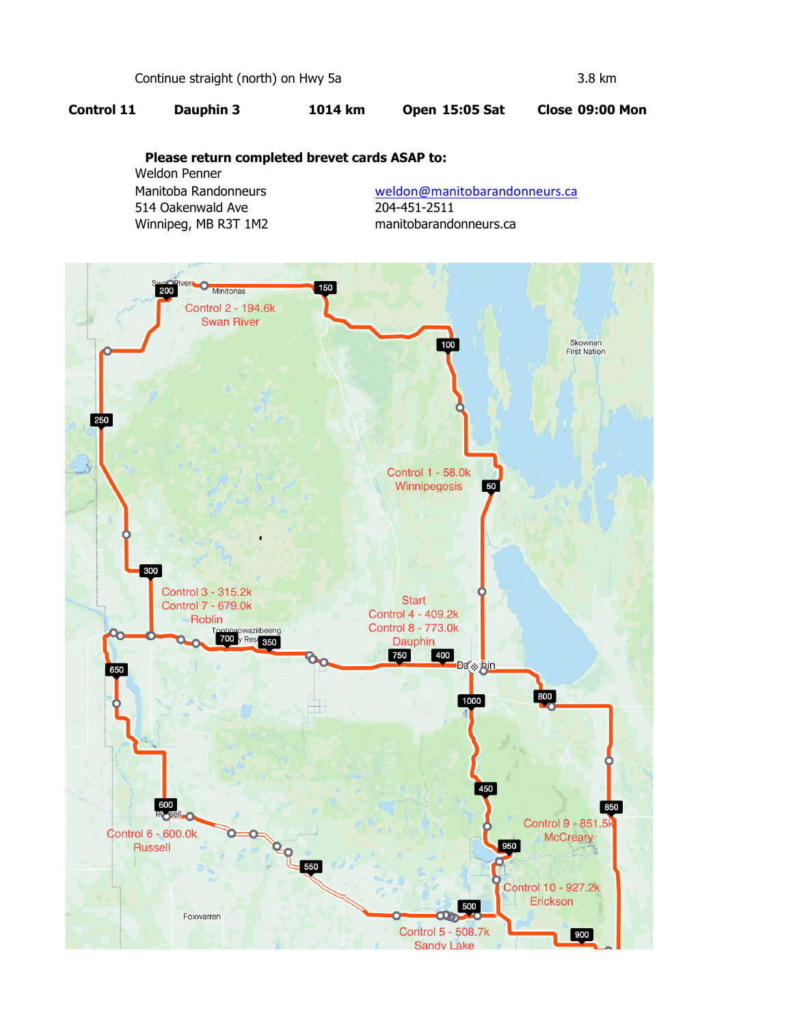Continue straight (north) on Hwy 5a 3.8 km

## **Control 11 Dauphin 3 1014 km Open 15:05 Sat Close 09:00 Mon**

## **Please return completed brevet cards ASAP to:**

Weldon Penner 514 Oakenwald Ave 204-451-2511 Winnipeg, MB R3T 1M2 manitobarandonneurs.ca

Manitoba Randonneurs **Weldon@manitobarandonneurs.ca**